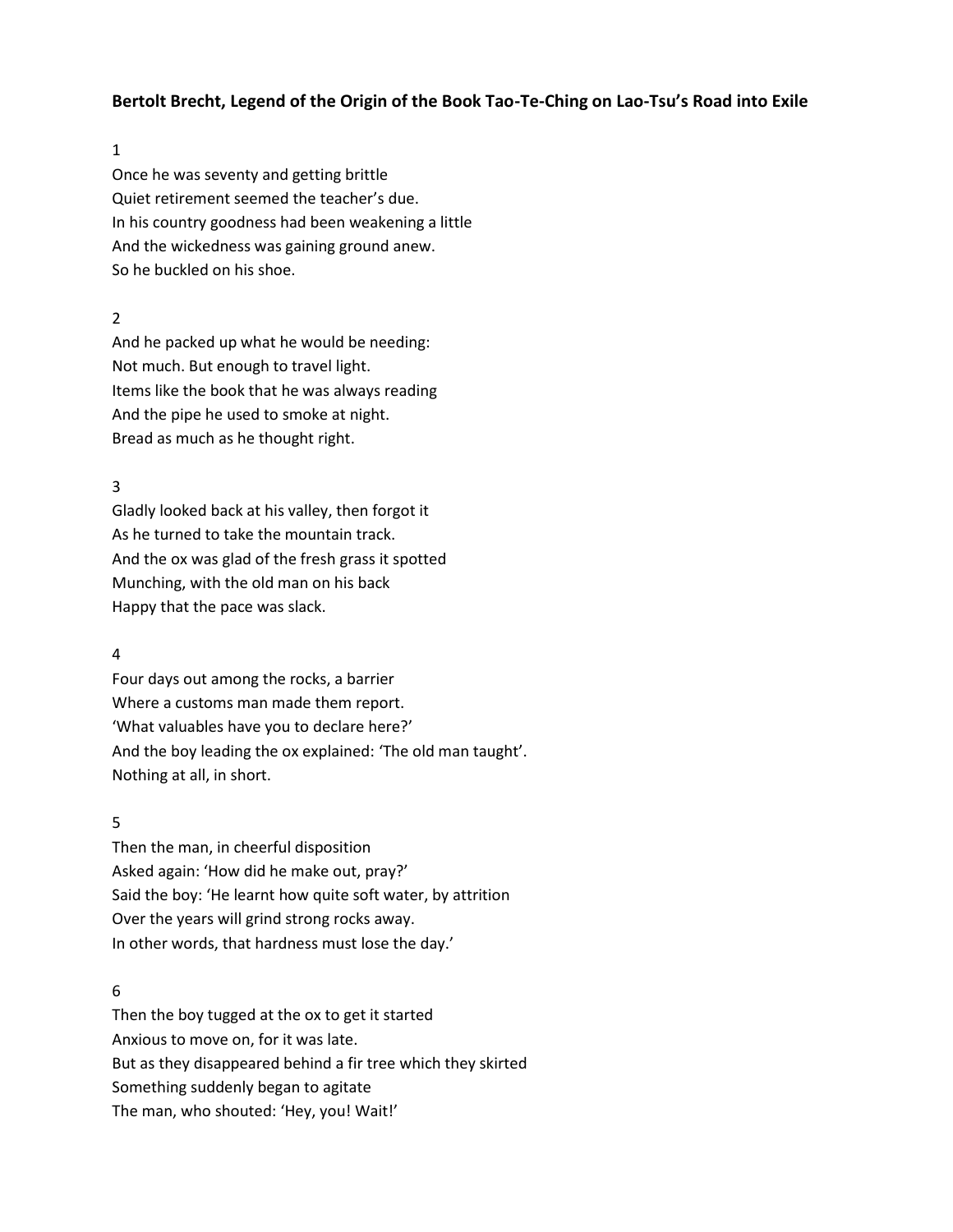# **Bertolt Brecht, Legend of the Origin of the Book Tao-Te-Ching on Lao-Tsu's Road into Exile**

1

Once he was seventy and getting brittle Quiet retirement seemed the teacher's due. In his country goodness had been weakening a little And the wickedness was gaining ground anew. So he buckled on his shoe.

# 2

And he packed up what he would be needing: Not much. But enough to travel light. Items like the book that he was always reading And the pipe he used to smoke at night. Bread as much as he thought right.

# 3

Gladly looked back at his valley, then forgot it As he turned to take the mountain track. And the ox was glad of the fresh grass it spotted Munching, with the old man on his back Happy that the pace was slack.

## 4

Four days out among the rocks, a barrier Where a customs man made them report. 'What valuables have you to declare here?' And the boy leading the ox explained: 'The old man taught'. Nothing at all, in short.

## 5

Then the man, in cheerful disposition Asked again: 'How did he make out, pray?' Said the boy: 'He learnt how quite soft water, by attrition Over the years will grind strong rocks away. In other words, that hardness must lose the day.'

#### 6

Then the boy tugged at the ox to get it started Anxious to move on, for it was late. But as they disappeared behind a fir tree which they skirted Something suddenly began to agitate The man, who shouted: 'Hey, you! Wait!'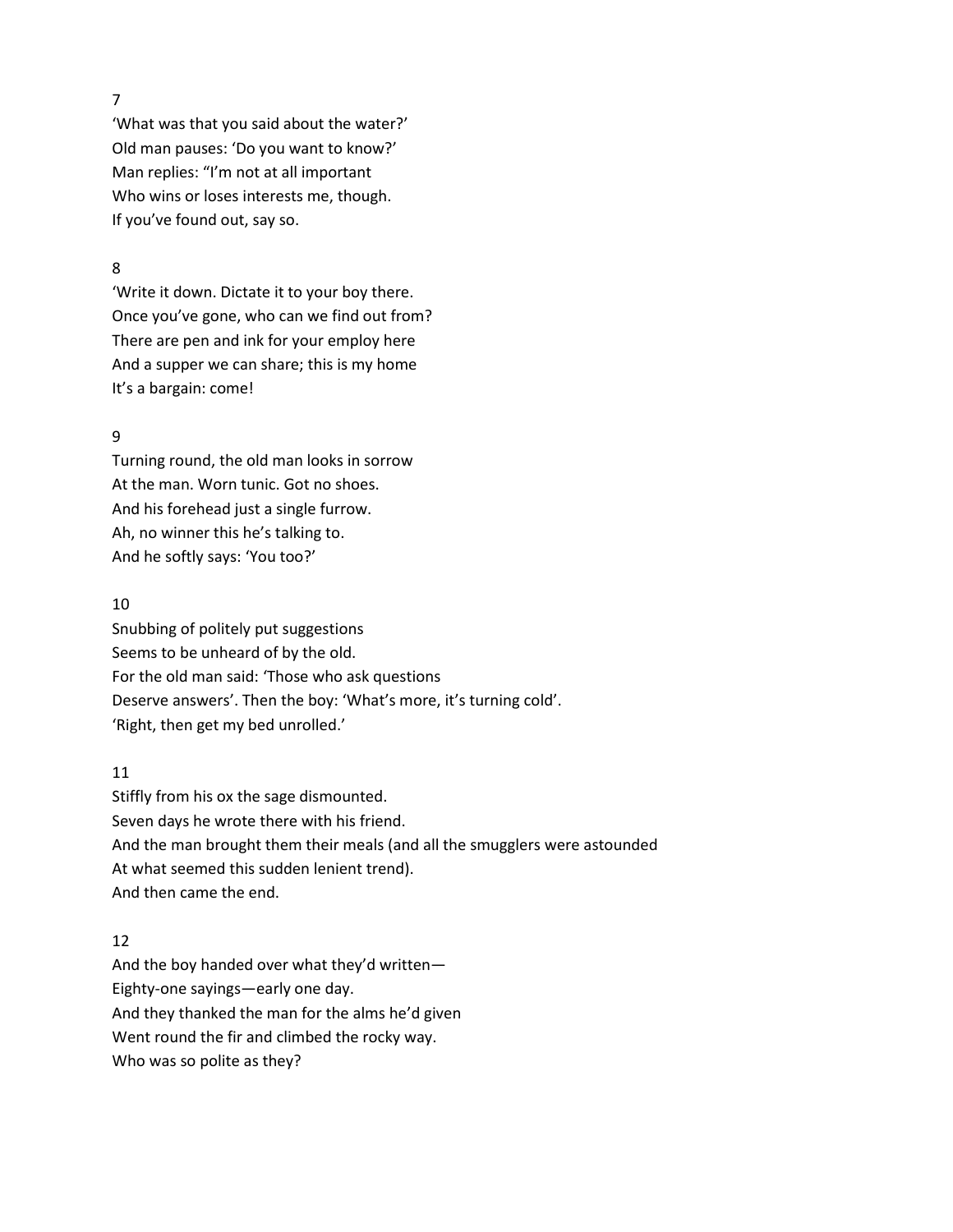7

'What was that you said about the water?' Old man pauses: 'Do you want to know?' Man replies: "I'm not at all important Who wins or loses interests me, though. If you've found out, say so.

## 8

'Write it down. Dictate it to your boy there. Once you've gone, who can we find out from? There are pen and ink for your employ here And a supper we can share; this is my home It's a bargain: come!

# 9

Turning round, the old man looks in sorrow At the man. Worn tunic. Got no shoes. And his forehead just a single furrow. Ah, no winner this he's talking to. And he softly says: 'You too?'

#### 10

Snubbing of politely put suggestions Seems to be unheard of by the old. For the old man said: 'Those who ask questions Deserve answers'. Then the boy: 'What's more, it's turning cold'. 'Right, then get my bed unrolled.'

## 11

Stiffly from his ox the sage dismounted. Seven days he wrote there with his friend. And the man brought them their meals (and all the smugglers were astounded At what seemed this sudden lenient trend). And then came the end.

### 12

And the boy handed over what they'd written— Eighty-one sayings—early one day. And they thanked the man for the alms he'd given Went round the fir and climbed the rocky way. Who was so polite as they?